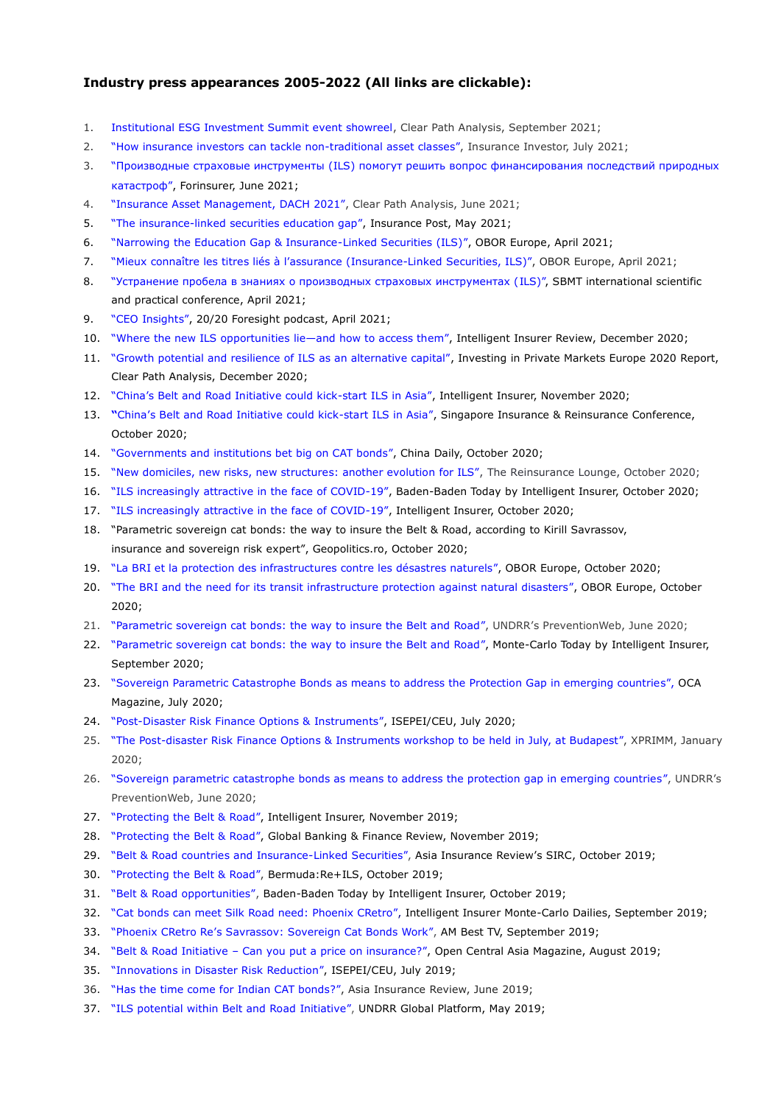## **Industry press appearances 2005-2022 (All links are clickable):**

- 1. [Institutional ESG Investment Summit event showreel,](https://youtu.be/tR5wED6-IcU) Clear Path Analysis, September 2021;
- 2. ["How insurance investors can tackle non](https://www.insurance-investor.com/archive/how-insurance-investors-can-tackle-non-traditional-asset-classes/)-traditional asset classes", Insurance Investor, July 2021;
- 3. ["Производные страховые инструменты \(ILS\) помогут решить вопрос финансирования последствий природных](https://forinsurer.com/public/21/06/17/4943)  [катастроф",](https://forinsurer.com/public/21/06/17/4943) Forinsurer, June 2021;
- 4. ["Insurance Asset Management, DACH 2021",](https://ils-course.com/wp-content/uploads/2022/03/FINAL-CPA-IAMDACH-2021-Report-280621.pdf) Clear Path Analysis, June 2021;
- 5. "[The insurance-linked securities education gap](https://www.postonline.co.uk/commercial/7826941/blog-the-insurance-linked-securities-education-gap)", Insurance Post, May 2021;
- 6. ["Narrowing the Education Gap & Insurance](https://www.oboreurope.com/en/education-gap-ils/)-Linked Securities (ILS)", OBOR Europe, April 2021;
- 7. "Mieux connaître les titres liés à [l'assurance](https://www.oboreurope.com/fr/connaitre-titres-assurance-ils/) (Insurance-Linked Securities, ILS)", OBOR Europe, April 2021;
- 8. ["Устранение пробела в знаниях о производных страховых инструментах \(ILS\)",](https://ils-course.com/wp-content/uploads/2022/03/SBMT-Conference-Artcile.pdf) SBMT international scientific and practical conference, April 2021;
- 9. ["CEO Insights",](https://youtu.be/Rd3VC9pt1gc) 20/20 Foresight podcast, April 2021;
- 10. ["Where the new ILS opportunities](https://newtonmedia.foleon.com/intelligent-insurer-review/december-2020/where-the-new-ils-opportunities-lieand-how-to-access-them/) lie—and how to access them", Intelligent Insurer Review, December 2020;
- 11. ["Growth potential and resilience of ILS as an alternative capital",](https://ils-course.com/wp-content/uploads/2022/03/Binder1.pdf) Investing in Private Markets Europe 2020 Report, Clear Path Analysis, December 2020;
- 12. ["China's Belt and Road Initiative could kick](https://www.intelligentinsurer.com/news/china-s-belt-and-road-initiative-could-kick-start-ils-in-asia-24004)-start ILS in Asia", Intelligent Insurer, November 2020;
- 13. **"**[China's Belt and Road Initiative could kick](https://newtonmedia.foleon.com/intelligent-insurer-sirct/day-3-2020/chinas-belt-and-road-initiative-could-kick-start-ils-in-asia/)-start ILS in Asia", Singapore Insurance & Reinsurance Conference, October 2020;
- 14. ["Governments and institutions bet big on CAT bonds",](http://www.chinadaily.com.cn/a/202010/20/WS5f8e267da31024ad0ba7faa5.html) China Daily, October 2020;
- 15. ["New domiciles, new risks, new structures: another evolution for ILS"](https://www.reinsurancelounge.com/agenda/session/403216), The Reinsurance Lounge, October 2020;
- 16. ["ILS increasingly attractive in the face of COVID](https://newtonmedia.foleon.com/intelligent-insurer-bbt/day-2/interview-with-kirill-savrassov/)-19", Baden-Baden Today by Intelligent Insurer, October 2020;
- 17. ["ILS increasingly attractive in the face of COVID](https://www.intelligentinsurer.com/news/ils-increasingly-attractive-in-the-face-of-covid-19-23796)-19", Intelligent Insurer, October 2020;
- 18. ["Parametric sovereign cat bonds: the way to insure the Belt & Road, according to Kirill Savrassov,](http://english.geopolitics.ro/parametric-sovereign-cat-bonds-the-way-to-insure-the-belt-and-road-according-to-kirill-savrassov-insurance-and-sovereign-risk-expert/)  [insurance and sovereign risk expert",](http://english.geopolitics.ro/parametric-sovereign-cat-bonds-the-way-to-insure-the-belt-and-road-according-to-kirill-savrassov-insurance-and-sovereign-risk-expert/) Geopolitics.ro, October 2020;
- 19. "La BRI et la protection des infrastructures contre les désastres naturels", OBOR Europe, October 2020;
- 20. ["The BRI and the need for its transit infrastructure protection against natural disasters",](https://www.oboreurope.com/en/savrassov-bri-ils-natural-disasters/) OBOR Europe, October 2020;
- 21. ["Parametric sovereign cat bonds: the way to insure the Belt and Road",](https://www.preventionweb.net/news/view/73671) UNDRR's PreventionWeb, June 2020;
- 22. ["Parametric sovereign cat bonds: the way to insure the Belt and Road",](https://newtonmedia.foleon.com/intelligent-insurer-mct/day-4/interview-with-kirill-savrassov/) Monte-Carlo Today by Intelligent Insurer, September 2020;
- 23. ["Sovereign Parametric Catastrophe Bonds as means to address the Protection Gap in emerging countries",](https://www.ocamagazine.com/2020/07/17/sovereign-parametric-catastrophe-bonds-as-means-to-address-the-protection-gap-in-emerging-countries/) OCA Magazine, July 2020;
- 24. "Post-[Disaster Risk Finance Options & Instruments",](http://isepei.org/post-disaster-risk-finance20) ISEPEI/CEU, July 2020;
- 25. "The Post-[disaster Risk Finance Options & Instruments workshop to be held in July, at Budapest",](https://www.xprimm.com/The-Post-disaster-Risk-Finance-Options-Instruments-workshop-to-be-held-in-July-at-Budapest-articol-117,124-14695.htm) XPRIMM, January 2020;
- 26. ["Sovereign parametric catastrophe bonds as means to address the protection gap in emerging countries",](https://www.preventionweb.net/news/view/73358) UNDRR's PreventionWeb, June 2020;
- 27. ["Protecting the Belt & Road",](https://www.intelligentinsurer.com/article/protecting-the-belt-road) Intelligent Insurer, November 2019;
- 28. ["P](https://www.bermudareinsurancemagazine.com/article/protecting-the-belt-road)[rotecting the Belt & Road",](https://www.globalbankingandfinance.com/protecting-the-belt-road/) Global Banking & Finance Review, November 2019;
- 29. ["Belt & Road countries and Insurance](http://www.phoenix-re.co.uk/wp-content/uploads/2019/10/Special-Features-BRI-ILS-1.pdf)-Linked Securitie[s",](http://www.phoenix-re.co.uk/wp-content/uploads/2019/10/Special-Features-BRI-ILS-1.pdf) Asia Insurance Review's SIRC, October 2019;
- 30. ["Protecting the Belt & Road",](https://www.bermudareinsurancemagazine.com/article/protecting-the-belt-road) Bermuda:Re+ILS, October 2019;
- 31. ["Belt & Road opportunities",](http://www.emagcloud.com/NewtonMedia/Day3_BBToday_2019_EMAG/page_15.html) Baden-Baden Today by Intelligent Insurer, October 2019;
- 32. ["Cat bonds can meet Silk Road need: Phoenix CRetro",](https://ils-course.com/wp-content/uploads/2022/03/MCToday_Day4_EMAG.pdf) [Intelligent Insurer Monte](http://www.phoenix-re.co.uk/wp-content/uploads/2019/09/MCToday_Day4_EMAG.pdf)-Carlo Dailie[s, S](http://www.phoenix-re.co.uk/wp-content/uploads/2019/09/MCToday_Day4_EMAG.pdf)eptember 2019;
- 33. ["Phoenix CRetro Re's Savrassov: Sovereign Cat Bonds Work"](http://www.ambest.com/video/MediaArchive.aspx?lid=6074548690001&vid=6085415646001), AM Best TV, September 2019;
- 34. "Belt & Road Initiative [Can you put a price on insurance?",](https://issuu.com/hertspress/docs/oca31_print_web) Open Central Asia Magazine, August 2019;
- 35. ["Innovations in Disaster Risk Reduction",](http://isepei.org/innovations-drr-2019) ISEPEI/CEU, July 2019;
- 36. ["Has the time come for Indian CAT bonds?",](https://www.asiainsurancereview.com/Magazine/ReadMagazineArticle/aid/42283/SharedCode/EAAAA7/Has-the-time-come-for-Indian-CAT-bonds-/1?utm_source=linkedin&utm_medium=SocialMedia&utm_campaign=MArticleShare&utm_source=linkedin&utm_medium=SocialMedia&utm_campaign=MArticleShare) Asia Insurance Review, June 2019;
- 37. ["ILS potential within Belt and Road Initiative",](https://www.unisdr.org/conference/2019/globalplatform/programme/ignite-stage/view?id=1065) UNDRR Global Platform, May 2019;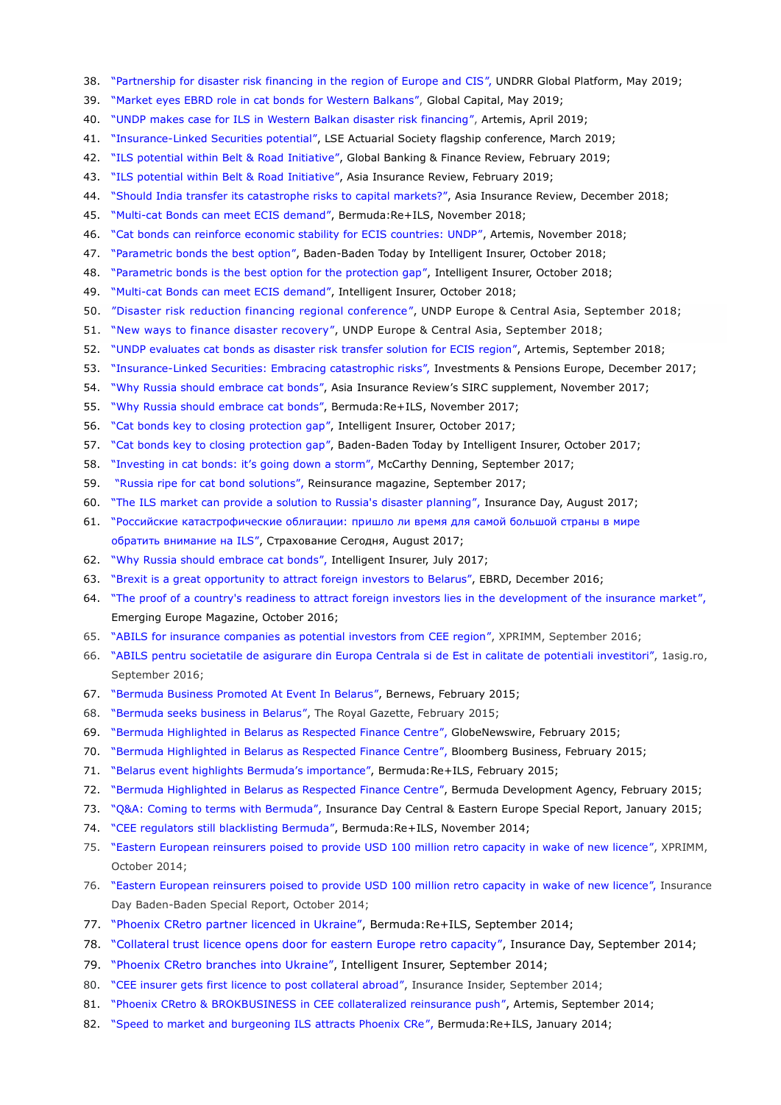- 38. ["Partnership for disaster risk financing in the region of Europe and CIS",](https://www.unisdr.org/conference/2019/globalplatform/programme/ignite-stage/view?id=1014) UNDRR Global Platform, May 2019;
- 39. ["Market eyes EBRD role in cat bonds for Western Balkans",](https://www.globalcapital.com/article/b1f9j1r66vzqh6/market-eyes-ebrd-role-in-cat-bonds-for-western-balkans) Global Capital, May 2019;
- 40. ["UNDP makes case for ILS in Western Balkan disaster risk financing",](https://www.artemis.bm/news/undp-makes-case-for-ils-in-western-balkan-disaster-risk-financing/) Artemis, April 2019;
- 41. "Insurance-[Linked Securities potential",](https://ils-course.com/wp-content/uploads/2022/03/Brochure.pdf) LSE Actuarial Society flagship conference, March 2019;
- 42. ["ILS potential within Belt & Road Initiative"](http://www.asiainsurancereview.com/Magazine/ReadMagazineArticle/aid/41763/SharedCode/39B363/ILS-potential-within-Belt-and-Road-Initiative)[,](http://www.asiainsurancereview.com/News/View-NewsLetter-Article/id/45033/Type/AirPlus/Should-India-transfer-its-catastrophe-risks-to-capital-markets-) Global Banking & Finance Review, February 2019;
- 43. ["ILS potential within Belt & Road Initiative"](http://www.asiainsurancereview.com/Magazine/ReadMagazineArticle/aid/41763/SharedCode/39B363/ILS-potential-within-Belt-and-Road-Initiative)[,](http://www.asiainsurancereview.com/News/View-NewsLetter-Article/id/45033/Type/AirPlus/Should-India-transfer-its-catastrophe-risks-to-capital-markets-) Asia Insurance Review, February 2019;
- 44. ["S](http://www.asiainsurancereview.com/News/View-NewsLetter-Article/id/45033/Type/AirPlus/Should-India-transfer-its-catastrophe-risks-to-capital-markets-)hould India transfer [its catastrophe risks to capital markets?",](http://www.asiainsurancereview.com/News/View-NewsLetter-Article/id/45033/Type/AirPlus/Should-India-transfer-its-catastrophe-risks-to-capital-markets-) Asia Insurance Review, December 2018;
- 45. "Multi-[cat Bonds can meet ECIS demand",](https://www.bermudareinsurancemagazine.com/contributed-article/multi-cat-bonds-can-meet-ecis-demand) Bermuda:Re+ILS, November 2018;
- 46. ["Cat bonds can reinforce economic stability for ECIS countries: UNDP"](http://www.artemis.bm/blog/2018/11/09/cat-bonds-can-reinforce-economic-stability-for-ecis-countries-undp/), Artemis, November 2018;
- 47. ["Parametric bonds the best option",](https://www.emagcloud.com/NewtonMedia/BadenBaden_Today__Day_One_2018/page_23.html) Baden-Baden Today by Intelligent Insurer, October 2018;
- 48. ["Parametric bonds is the best option for the protection gap",](https://www.intelligentinsurer.com/news/parametric-bonds-the-best-option-for-the-protection-gap-16752) Intelligent Insurer, October 2018;
- 49. "Multi-[cat Bonds can meet ECIS demand",](https://www.intelligentinsurer.com/contributed-article/multi-cat-bonds-can-meet-ecis-demand) Intelligent Insurer, October 2018;
- 50. ["Disaster risk reduction financing regional conference",](https://www.eurasia.undp.org/content/rbec/en/home/presscenter/events/2018/disaster-risk-reduction-financing-regional-conference.html) UNDP Europe & Central Asia, September 2018;
- 51. ["New ways to finance disaster recovery",](https://www.eurasia.undp.org/content/rbec/en/home/blog/2018/new-ways-to-finance-disaster-recovery.html) UNDP Europe & Central Asia, September 2018;
- 52. ["UNDP evaluates cat bonds as disaster risk transfer solution for ECIS region",](http://www.artemis.bm/blog/2018/09/25/undp-evaluates-cat-bonds-as-disaster-risk-transfer-solution-for-ecis-region/) Artemis, September 2018;
- 53. "Insurance-[Linked Securities: Embracing catastrophic risks",](https://www.ipe.com/investment/briefing-investment/insurance-linked-securities-embracing-catastrophic-risks/10022052.article) Investments & Pensions Europe, December 2017;
- 54. ["Why Russia should embrace cat bonds",](https://ils-course.com/wp-content/uploads/2022/03/Pages-from-SIRC2017.pdf) Asia Insurance Review's SIRC supplement, November 2017;
- 55. ["Why Russia should embrace cat bonds",](https://www.bermudareinsurancemagazine.com/contributed-article/why-russia-should-embrace-cat-bonds) Bermuda:Re+ILS, November 2017;
- 56. ["Cat bonds key to closing protection gap"](https://www.intelligentinsurer.com/news/cat-bonds-key-to-closing-protection-gap-13643), Intelligent Insurer, October 2017;
- 57. ["Cat bonds key to closing protection gap"](http://www.emagcloud.com/NewtonMedia/BadenBaden_Today__Day_Three_2017/index.html#/10/), Baden-Baden Today by Intelligent Insurer, October 2017;
- 58. ["Investing in cat bonds: it's going down a storm",](https://mccarthydenning.com/investing-in-cat-bonds-its-going-down-a-storm/) McCarthy Denning, September 2017;
- 59. ["Russia ripe for cat bond solutions",](https://ils-course.com/wp-content/uploads/2022/03/Pages-from-Reinsurance-mag.pdf) [Re](http://www.phoenix-re.co.uk/wp-content/uploads/2017/09/Pages-from-Reinsurance-mag.pdf)insurance magazine, September 2017;
- 60. ["The ILS market can provide a solution to Russia's disaster planning"](https://ils-course.com/wp-content/uploads/2022/03/ID-WEDNESDAY-2-AUGUST-optimised.pdf)[,](https://1drv.ms/b/s!AuA0Wgqq5qodkyYC2w3YZMARr01_) Insurance Day, August 2017;
- 61. ["Российские катастрофические облигации: пришло ли время для самой большой страны в мире](https://www.insur-info.ru/press/133962/)  [обратить внимание на ILS",](https://www.insur-info.ru/press/133962/) Страхование Сегодня, August 2017;
- 62. ["Why Russia should embrace cat bonds",](https://www.intelligentinsurer.com/article/why-russia-should-embrace-cat-bonds) Intelligent Insurer, July 2017;
- 63. ["Brexit is a great opportunity to attract foreign investors to Belarus",](https://youtu.be/TqIho0aXhQM) EBRD, December 2016;
- 64. ["The proof of a country's readiness to attract foreign investors lies in the development of the insurance market",](https://emerging-europe.com/voices/the-proof-of-a-countrys-readiness-to-attract-foreign-investors-lies-in-the-development-of-the-insurance-market/) Emerging Europe Magazine, October 2016;
- 65. ["ABILS for insurance companies as potential investors from CEE region",](https://www.xprimm.com/ABILS-for-insurance-companies-as-potential-investors-from-CEE-region-articol-117,149-8368.htm) XPRIMM, September 2016;
- 66. ["ABILS pentru societatile de asigurare din Europa Centrala si de Est in calitate de potentiali investitori",](https://www.1asig.ro/ABILS-pentru-societatile-de-asigurare-din-Europa-Centrala-si-de-Est-in-calitate-de-potentiali-investitori-articol-2,218-54575.htm) 1asig.ro, September 2016;
- 67. ["Bermuda Business Promoted At Event In Belarus",](http://bernews.com/2015/02/bermuda-belarus-respected-finance-centre/) Bernews, February 2015;
- 68. ["Bermuda seeks business in Belarus",](https://www.royalgazette.com/international-business/business/article/20150210/bermuda-seeks-business-in-belarus/) The Royal Gazette, February 2015;
- 69. ["Bermuda Highlighted in Belarus as Respected Finance Centre",](https://globenewswire.com/news-release/2015/02/09/704534/10119306/en/Photo-Release-Bermuda-Highlighted-in-Belarus-as-Respected-Finance-Centre.html) GlobeNewswire, February 2015;
- 70. ["Bermuda Highlighted in Belarus as Respected Finance Centre",](https://globenewswire.com/news-release/2015/02/09/704534/10119306/en/Photo-Release-Bermuda-Highlighted-in-Belarus-as-Respected-Finance-Centre.html) Bloomberg Business, February 2015;
- 71. ["Belarus event highlights Bermuda's importance",](https://www.bermudareinsurancemagazine.com/news/belarus-event-highlights-bermuda-s-importance-1746) Bermuda:Re+ILS, February 2015;
- 72. ["Bermuda Highlighted in Belarus as Respected Finance Centre",](http://www.bda.bm/wp-content/uploads/2015/02/BDA-CEE-release.pdf) Bermuda Development Agency, February 2015;
- 73. ["Q&A: Coming to terms with Bermuda"](https://ils-course.com/wp-content/uploads/2022/03/Kirill-Savrassov-PDF.pdf)[,](http://www.phoenix-re.co.uk/wp-content/uploads/2013/06/ID-12Jan15-entire-article.jpg) Insurance Day Central & Eastern Europe Special Report, January 2015;
- 74. ["CEE regulators still blacklisting Bermuda",](https://www.bermudareinsurancemagazine.com/news/cee-regulators-still-blacklisting-bermuda-1574) Bermuda:Re+ILS, November 2014;
- 75. ["Eastern European reinsurers poised to provide USD 100 million retro capacity in wake of new licence",](https://www.xprimm.com/Eastern-European-reinsurers-poised-to-provide-USD-100-million-retro-capacity-in-wake-of-new-licence-articol-117,124-5710.htm) XPRIMM, October 2014;
- 76. ["Eastern European reinsurers poised to provide USD 100 million retro capacity in wake of new licence",](https://ils-course.com/wp-content/uploads/2022/03/InsuranceDay20October2014BadenBadenSR.pdf) Insurance Day Baden-Baden Special Report, October 2014;
- 77. ["Phoenix CRetro partner licenced in Ukraine",](https://www.bermudareinsurancemagazine.com/news/phoenix-cretro-partner-licenced-in-ukraine-1489) Bermuda:Re+ILS, September 2014;
- 78. ["Collateral trust licence opens door for eastern Europe retro capacity",](https://ils-course.com/wp-content/uploads/2022/03/INSURANCE-DAY-THURSDAY-18-SEPTEMBER.pdf) Insurance Day, September 2014;
- 79. ["Phoenix CRetro branches into Ukraine",](https://www.intelligentinsurer.com/news/phoenix-cretro-branches-into-ukraine-3624) Intelligent Insurer, September 2014;
- 80. ["CEE insurer gets first licence to post collateral abroad",](https://insuranceinsider.com/articles/91426/cee-insurer-gets-first-licence-to-post-collateral-abroad) Insurance Insider, September 2014;
- 81. ["Phoenix CRetro & BROKBUSINESS in CEE collateralized reinsurance push"](https://www.artemis.bm/news/phoenix-cretro-brokbusiness-in-cee-collateralized-reinsurance-push/), Artemis, September 2014;
- 82. ["Speed to market and burgeoning ILS attracts Phoenix CRe",](https://www.bermudareinsurancemagazine.com/news/speed-to-market-and-burgeoning-ils-market-attracted-phoenix-cre) Bermuda:Re+ILS, January 2014;